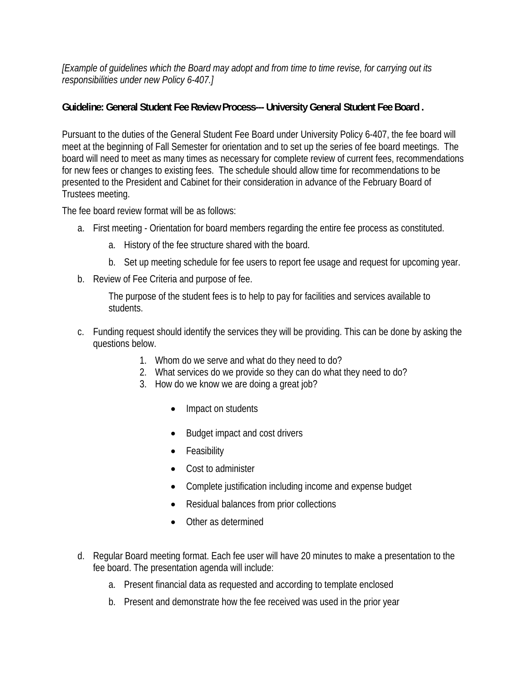## *[Example of guidelines which the Board may adopt and from time to time revise, for carrying out its responsibilities under new Policy 6-407.]*

## **Guideline: General Student Fee Review Process--- University General Student Fee Board .**

Pursuant to the duties of the General Student Fee Board under University Policy 6-407, the fee board will meet at the beginning of Fall Semester for orientation and to set up the series of fee board meetings. The board will need to meet as many times as necessary for complete review of current fees, recommendations for new fees or changes to existing fees. The schedule should allow time for recommendations to be presented to the President and Cabinet for their consideration in advance of the February Board of Trustees meeting.

The fee board review format will be as follows:

- a. First meeting Orientation for board members regarding the entire fee process as constituted.
	- a. History of the fee structure shared with the board.
	- b. Set up meeting schedule for fee users to report fee usage and request for upcoming year.
- b. Review of Fee Criteria and purpose of fee.

The purpose of the student fees is to help to pay for facilities and services available to students.

- c. Funding request should identify the services they will be providing. This can be done by asking the questions below.
	- 1. Whom do we serve and what do they need to do?
	- 2. What services do we provide so they can do what they need to do?
	- 3. How do we know we are doing a great job?
		- Impact on students
		- Budget impact and cost drivers
		- Feasibility
		- Cost to administer
		- Complete justification including income and expense budget
		- Residual balances from prior collections
		- Other as determined
- d. Regular Board meeting format. Each fee user will have 20 minutes to make a presentation to the fee board. The presentation agenda will include:
	- a. Present financial data as requested and according to template enclosed
	- b. Present and demonstrate how the fee received was used in the prior year